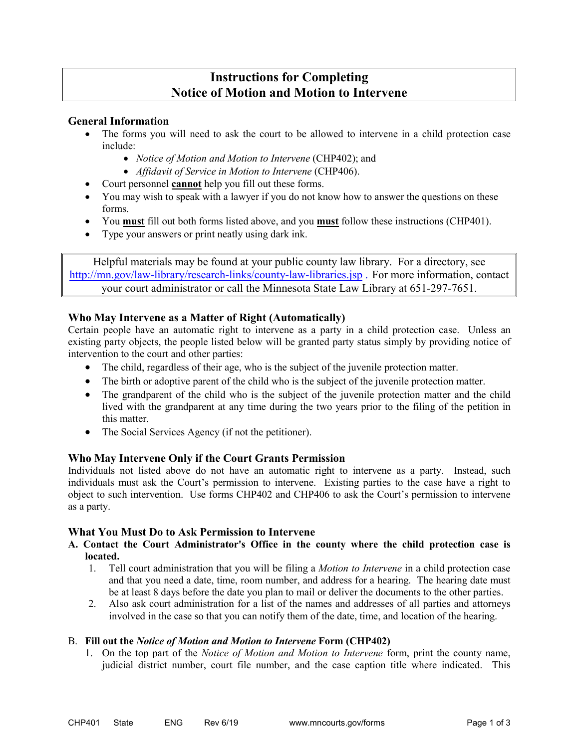# **Instructions for Completing Notice of Motion and Motion to Intervene**

## **General Information**

- The forms you will need to ask the court to be allowed to intervene in a child protection case include:
	- *Notice of Motion and Motion to Intervene* (CHP402); and
	- *Affidavit of Service in Motion to Intervene* (CHP406).
- Court personnel **cannot** help you fill out these forms.
- You may wish to speak with a lawyer if you do not know how to answer the questions on these forms.
- You **must** fill out both forms listed above, and you **must** follow these instructions (CHP401).
- Type your answers or print neatly using dark ink.

Helpful materials may be found at your public county law library. For a directory, see <http://mn.gov/law-library/research-links/county-law-libraries.jsp> . For more information, contact your court administrator or call the Minnesota State Law Library at 651-297-7651.

## **Who May Intervene as a Matter of Right (Automatically)**

Certain people have an automatic right to intervene as a party in a child protection case. Unless an existing party objects, the people listed below will be granted party status simply by providing notice of intervention to the court and other parties:

- The child, regardless of their age, who is the subject of the juvenile protection matter.
- The birth or adoptive parent of the child who is the subject of the juvenile protection matter.
- The grandparent of the child who is the subject of the juvenile protection matter and the child lived with the grandparent at any time during the two years prior to the filing of the petition in this matter.
- The Social Services Agency (if not the petitioner).

# **Who May Intervene Only if the Court Grants Permission**

Individuals not listed above do not have an automatic right to intervene as a party. Instead, such individuals must ask the Court's permission to intervene. Existing parties to the case have a right to object to such intervention. Use forms CHP402 and CHP406 to ask the Court's permission to intervene as a party.

## **What You Must Do to Ask Permission to Intervene**

## **A. Contact the Court Administrator's Office in the county where the child protection case is located.**

- 1. Tell court administration that you will be filing a *Motion to Intervene* in a child protection case and that you need a date, time, room number, and address for a hearing. The hearing date must be at least 8 days before the date you plan to mail or deliver the documents to the other parties.
- 2. Also ask court administration for a list of the names and addresses of all parties and attorneys involved in the case so that you can notify them of the date, time, and location of the hearing.

## B. **Fill out the** *Notice of Motion and Motion to Intervene* **Form (CHP402)**

1. On the top part of the *Notice of Motion and Motion to Intervene* form, print the county name, judicial district number, court file number, and the case caption title where indicated. This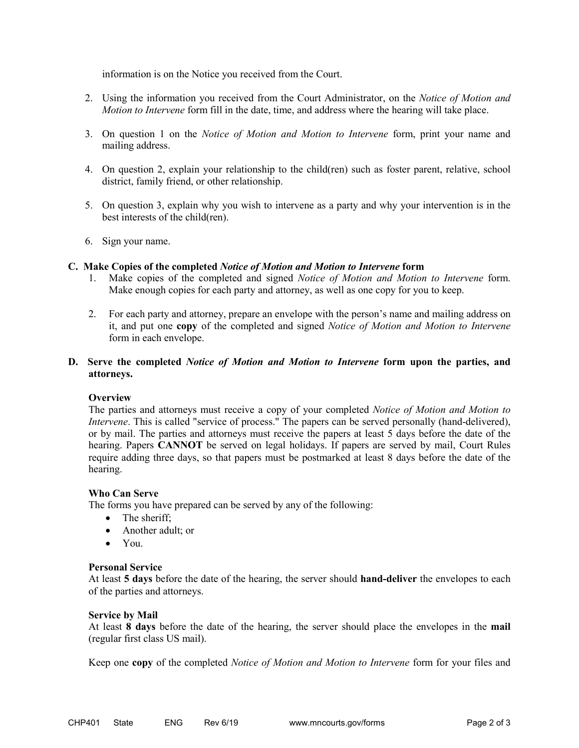information is on the Notice you received from the Court.

- 2. Using the information you received from the Court Administrator, on the *Notice of Motion and Motion to Intervene* form fill in the date, time, and address where the hearing will take place.
- 3. On question 1 on the *Notice of Motion and Motion to Intervene* form, print your name and mailing address.
- 4. On question 2, explain your relationship to the child(ren) such as foster parent, relative, school district, family friend, or other relationship.
- 5. On question 3, explain why you wish to intervene as a party and why your intervention is in the best interests of the child(ren).
- 6. Sign your name.

#### **C. Make Copies of the completed** *Notice of Motion and Motion to Intervene* **form**

- 1. Make copies of the completed and signed *Notice of Motion and Motion to Intervene* form. Make enough copies for each party and attorney, as well as one copy for you to keep.
- 2. For each party and attorney, prepare an envelope with the person's name and mailing address on it, and put one **copy** of the completed and signed *Notice of Motion and Motion to Intervene* form in each envelope.

## **D. Serve the completed** *Notice of Motion and Motion to Intervene* **form upon the parties, and attorneys.**

## **Overview**

The parties and attorneys must receive a copy of your completed *Notice of Motion and Motion to Intervene*. This is called "service of process." The papers can be served personally (hand-delivered), or by mail. The parties and attorneys must receive the papers at least 5 days before the date of the hearing. Papers **CANNOT** be served on legal holidays. If papers are served by mail, Court Rules require adding three days, so that papers must be postmarked at least 8 days before the date of the hearing.

## **Who Can Serve**

The forms you have prepared can be served by any of the following:

- The sheriff;
- Another adult; or
- You.

#### **Personal Service**

At least **5 days** before the date of the hearing, the server should **hand-deliver** the envelopes to each of the parties and attorneys.

#### **Service by Mail**

At least **8 days** before the date of the hearing, the server should place the envelopes in the **mail** (regular first class US mail).

Keep one **copy** of the completed *Notice of Motion and Motion to Intervene* form for your files and